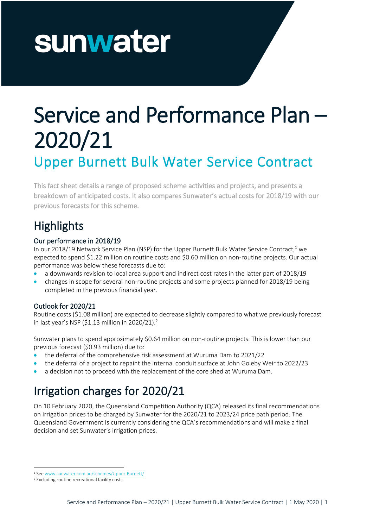# Service and Performance Plan – 2020/21 Upper Burnett Bulk Water Service Contract

This fact sheet details a range of proposed scheme activities and projects, and presents a breakdown of anticipated costs. It also compares Sunwater's actual costs for 2018/19 with our previous forecasts for this scheme.

# **Highlights**

#### Our performance in 2018/19

In our 2018/19 Network Service Plan (NSP) for the Upper Burnett Bulk Water Service Contract,<sup>1</sup> we expected to spend \$1.22 million on routine costs and \$0.60 million on non-routine projects. Our actual performance was below these forecasts due to:

- a downwards revision to local area support and indirect cost rates in the latter part of 2018/19
- changes in scope for several non-routine projects and some projects planned for 2018/19 being completed in the previous financial year.

#### Outlook for 2020/21

Routine costs (\$1.08 million) are expected to decrease slightly compared to what we previously forecast in last year's NSP (\$1.13 million in 2020/21). 2

Sunwater plans to spend approximately \$0.64 million on non-routine projects. This is lower than our previous forecast (\$0.93 million) due to:

- the deferral of the comprehensive risk assessment at Wuruma Dam to 2021/22
- the deferral of a project to repaint the internal conduit surface at John Goleby Weir to 2022/23
- a decision not to proceed with the replacement of the core shed at Wuruma Dam.

# Irrigation charges for 2020/21

On 10 February 2020, the Queensland Competition Authority (QCA) released its final recommendations on irrigation prices to be charged by Sunwater for the 2020/21 to 2023/24 price path period. The Queensland Government is currently considering the QCA's recommendations and will make a final decision and set Sunwater's irrigation prices.

<sup>1</sup> Se[e www.sunwater.com.au/schemes/Upper-Burnett/](https://www.sunwater.com.au/schemes/Upper-Burnett/)

<sup>2</sup> Excluding routine recreational facility costs.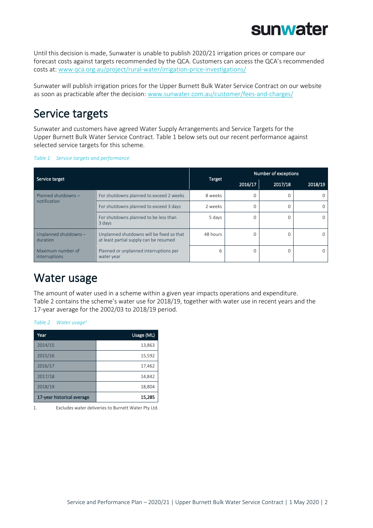Until this decision is made, Sunwater is unable to publish 2020/21 irrigation prices or compare our forecast costs against targets recommended by the QCA. Customers can access the QCA's recommended costs at: [www.qca.org.au/project/rural-water/irrigation-price-investigations/](https://www.qca.org.au/project/rural-water/irrigation-price-investigations/)

Sunwater will publish irrigation prices for the Upper Burnett Bulk Water Service Contract on our website as soon as practicable after the decision: [www.sunwater.com.au/customer/fees-and-charges/](https://www.sunwater.com.au/customer/fees-and-charges/)

## Service targets

Sunwater and customers have agreed Water Supply Arrangements and Service Targets for the Upper Burnett Bulk Water Service Contract. [Table 1](#page-1-0) below sets out our recent performance against selected service targets for this scheme.

<span id="page-1-0"></span>

|  |  | Table 1 Service targets and performance |
|--|--|-----------------------------------------|
|  |  |                                         |

| Service target                     |                                                                                     |          | Number of exceptions |              |         |  |  |
|------------------------------------|-------------------------------------------------------------------------------------|----------|----------------------|--------------|---------|--|--|
|                                    |                                                                                     | Target   | 2016/17              | 2017/18      | 2018/19 |  |  |
| Planned shutdowns -                | For shutdowns planned to exceed 2 weeks                                             | 8 weeks  | $\Omega$             | <sup>0</sup> |         |  |  |
| notification                       | For shutdowns planned to exceed 3 days                                              | 2 weeks  | $\Omega$             | O            |         |  |  |
|                                    | For shutdowns planned to be less than<br>3 days                                     | 5 days   | 0                    | $\Omega$     |         |  |  |
| Unplanned shutdowns -<br>duration  | Unplanned shutdowns will be fixed so that<br>at least partial supply can be resumed | 48 hours | $\Omega$             | $\Omega$     |         |  |  |
| Maximum number of<br>interruptions | Planned or unplanned interruptions per<br>water year                                | 6        | $\Omega$             | $\Omega$     |         |  |  |

## Water usage

<span id="page-1-1"></span>*Table 2 Water usage<sup>1</sup>*

The amount of water used in a scheme within a given year impacts operations and expenditure. [Table](#page-1-1) 2 contains the scheme's water use for 2018/19, together with water use in recent years and the 17-year average for the 2002/03 to 2018/19 period.

| Year                       | Usage (ML) |
|----------------------------|------------|
| 2014/15                    | 13,863     |
| 2015/16                    | 15,592     |
| 2016/17                    | 17,462     |
| 2017/18                    | 14,842     |
| 2018/19                    | 18,804     |
| 17-year historical average | 15,285     |

1. Excludes water deliveries to Burnett Water Pty Ltd.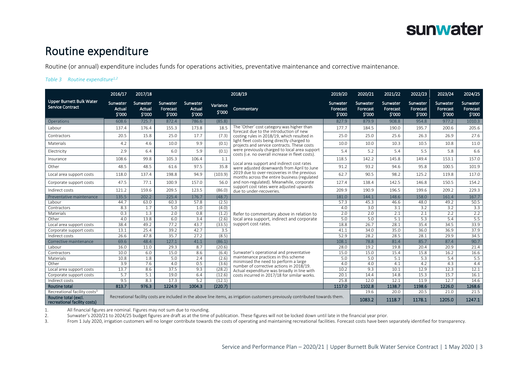

### Routine expenditure

Routine (or annual) expenditure includes funds for operations activities, preventative maintenance and corrective maintenance.

#### *Table 3 Routine expenditure1,2*

|                                                                                                  | 2016/17                      | 2017/18                      |                                |                              |                    | 2018/19                                                                                                                        | 2019/20                        | 2020/21                        | 2021/22                        | 2022/23                        | 2023/24                        | 2024/25                        |
|--------------------------------------------------------------------------------------------------|------------------------------|------------------------------|--------------------------------|------------------------------|--------------------|--------------------------------------------------------------------------------------------------------------------------------|--------------------------------|--------------------------------|--------------------------------|--------------------------------|--------------------------------|--------------------------------|
| <b>Upper Burnett Bulk Water</b><br><b>Service Contract</b>                                       | Sunwater<br>Actual<br>\$'000 | Sunwater<br>Actual<br>\$'000 | Sunwater<br>Forecast<br>\$'000 | Sunwater<br>Actual<br>\$'000 | Variance<br>\$'000 | Commentary                                                                                                                     | Sunwater<br>Forecast<br>\$'000 | Sunwater<br>Forecast<br>\$'000 | Sunwater<br>Forecast<br>\$'000 | Sunwater<br>Forecast<br>\$'000 | Sunwater<br>Forecast<br>\$'000 | Sunwater<br>Forecast<br>\$'000 |
| Operations                                                                                       | 608.6                        | 725.7                        | 872.4                          | 786.6                        | (85.8)             |                                                                                                                                | 827.9                          | 879.9                          | 908.8                          | 954.8                          | 977.2                          | 1010.3                         |
| Labour                                                                                           | 137.4                        | 176.4                        | 155.3                          | 173.8                        | 18.5               | The 'Other' cost category was higher than<br>forecast due to the introduction of new                                           | 177.7                          | 184.5                          | 190.0                          | 195.7                          | 200.6                          | 205.6                          |
| Contractors                                                                                      | 20.5                         | 15.8                         | 25.0                           | 17.7                         | (7.3)              | costing rules in 2018/19, which resulted in                                                                                    | 25.0                           | 25.0                           | 25.6                           | 26.3                           | 26.9                           | 27.6                           |
| Materials                                                                                        | 4.2                          | 4.6                          | 10.0                           | 9.9                          | (0.1)              | light fleet costs being directly charged to<br>projects and service contracts. These costs                                     | 10.0                           | 10.0                           | 10.3                           | 10.5                           | 10.8                           | 11.0                           |
| Electricity                                                                                      | 2.9                          | 6.4                          | 6.0                            | 5.9                          | (0.1)              | were previously charged to local area support<br>costs (i.e. no overall increase in fleet costs).                              | 5.4                            | 5.2                            | 5.4                            | 5.5                            | 5.8                            | 6.6                            |
| Insurance                                                                                        | 108.6                        | 99.8                         | 105.3                          | 106.4                        | 1.1                | Local area support and indirect cost rates                                                                                     | 118.5                          | 142.2                          | 145.8                          | 149.4                          | 153.1                          | 157.0                          |
| Other                                                                                            | 48.5                         | 48.5                         | 61.6                           | 97.5                         | 35.8               | were adjusted downwards from April to June                                                                                     | 91.2                           | 93.2                           | 94.6                           | 95.8                           | 100.5                          | 101.9                          |
| Local area support costs                                                                         | 118.0                        | 137.4                        | 198.8                          | 94.9                         | (103.9)            | 2019 due to over-recoveries in the previous<br>months across the entire business (regulated                                    | 62.7                           | 90.5                           | 98.2                           | 125.2                          | 119.8                          | 117.0                          |
| Corporate support costs                                                                          | 47.5                         | 77.1                         | 100.9                          | 157.0                        | 56.0               | and non-regulated). Meanwhile, corporate<br>support cost rates were adjusted upwards                                           | 127.4                          | 138.4                          | 142.5                          | 146.8                          | 150.5                          | 154.2                          |
| Indirect costs                                                                                   | 121.2                        | 159.6                        | 209.5                          | 123.5                        | (86.0)             | due to under-recoveries.                                                                                                       | 209.9                          | 190.9                          | 196.5                          | 199.6                          | 209.2                          | 229.3                          |
| Preventative maintenance                                                                         | 135.5                        | 202.2                        | 225.4                          | 176.7                        | (48.7)             |                                                                                                                                | 181.0                          | 144.1                          | 148.6                          | 158.0                          | 161.4                          | 167.7                          |
| Labour                                                                                           | 44.7                         | 63.0                         | 60.3                           | 57.8                         | (2.5)              |                                                                                                                                | 57.3                           | 45.3                           | 46.6                           | 48.0                           | 49.2                           | 50.5                           |
| Contractors                                                                                      | 8.3                          | 1.7                          | 5.0                            | 1.0                          | (4.0)              |                                                                                                                                | 4.0                            | 3.0                            | 3.1                            | 3.2                            | 3.2                            | 3.3                            |
| Materials                                                                                        | 0.3                          | 1.3                          | 2.0                            | 0.8                          | (1.2)              | Refer to commentary above in relation to                                                                                       | 2.0                            | 2.0                            | 2.1                            | 2.1                            | 2.2                            | 2.2                            |
| Other                                                                                            | 4.0                          | 13.8                         | 6.0                            | $\overline{3.4}$             | (2.6)              | local area support, indirect and corporate                                                                                     | 5.0                            | 5.0                            | 5.1                            | 5.3                            | 5.4                            | 5.5                            |
| Local area support costs                                                                         | 38.4                         | 49.2                         | 77.2                           | 43.7                         | (33.5)             | support cost rates.                                                                                                            | 18.8                           | 26.7                           | 28.1                           | 35.4                           | 34.5                           | 33.9                           |
| Corporate support costs                                                                          | 13.1                         | 25.4                         | 39.2                           | 42.7                         | 3.5                |                                                                                                                                | 41.1                           | 34.0                           | 35.0                           | 36.0                           | 36.9                           | 37.9                           |
| Indirect costs                                                                                   | 26.6                         | 47.8                         | 35.7                           | 27.2                         | (8.5)              |                                                                                                                                | 52.9                           | 28.2                           | 28.5                           | 28.1                           | 29.9                           | 34.5                           |
| Corrective maintenance                                                                           | 69.6                         | 48.4                         | 127.1                          | 41.1                         | (86.1)             |                                                                                                                                | 108.1                          | 78.8                           | 81.4                           | 85.7                           | 87.4                           | 90.7                           |
| Labour                                                                                           | 16.0                         | 11.0                         | 29.3                           | 8.7                          | (20.6)             |                                                                                                                                | 28.0                           | 19.2                           | 19.8                           | 20.4                           | 20.9                           | 21.4                           |
| Contractors                                                                                      | 10.0                         | 6.0                          | 15.0                           | 8.6                          | (6.4)              | Sunwater's operational and preventative                                                                                        | 15.0                           | 15.0                           | 15.4                           | 15.8                           | 16.2                           | 16.6                           |
| Materials                                                                                        | 10.8                         | 1.8                          | 5.0                            | 2.4                          | (2.6)              | maintenance practices in this scheme<br>minimised the need to perform a large                                                  | 5.0                            | 5.0                            | 5.1                            | 5.3                            | 5.4                            | 5.5                            |
| Other                                                                                            | 3.9                          | 7.6                          | 4.0                            | 0.5                          | (3.6)              | number of corrective actions in 2018/19.                                                                                       | 4.0                            | 4.0                            | 4.1                            | 4.2                            | 4.3                            | 4.4                            |
| Local area support costs                                                                         | 13.7                         | 8.6                          | 37.5                           | 9.3                          | (28.2)             | Actual expenditure was broadly in line with                                                                                    | 10.2                           | 9.3                            | 10.1                           | 12.9                           | 12.3                           | 12.1                           |
| Corporate support costs                                                                          | 5.7                          | 5.1                          | 19.0                           | 6.4                          | (12.6)             | costs incurred in 2017/18 for similar works.                                                                                   | 20.1                           | 14.4                           | 14.8                           | 15.3                           | 15.7                           | 16.1                           |
| Indirect costs                                                                                   | 9.5                          | 8.3                          | 17.3                           | 5.2                          | (12.1)             |                                                                                                                                | 25.8                           | 12.0                           | 12.1                           | 11.9                           | 12.7                           | 14.6                           |
| <b>Routine total</b>                                                                             | 813.7                        | 976.3                        | 1224.9                         | 1004.3                       | (220.7)            |                                                                                                                                | 1117.0                         | 1102.8                         | 1138.7                         | 1198.6                         | 1226.0                         | 1268.6                         |
| Recreational facility costs <sup>3</sup><br>Routine total (excl.<br>recreational facility costs) |                              |                              |                                |                              |                    | Recreational facility costs are included in the above line items, as irrigation customers previously contributed towards them. |                                | 19.6<br>1083.2                 | 20.0<br>1118.7                 | 20.5<br>1178.1                 | 21.0<br>1205.0                 | 21.5<br>1247.1                 |

1. All financial figures are nominal. Figures may not sum due to rounding.<br>2. Sunwater's 2020/21 to 2024/25 budget figures are draft as at the time

2. Sunwater's 2020/21 to 2024/25 budget figures are draft as at the time of publication. These figures will not be locked down until late in the financial year prior.<br>3. From 1 July 2020, irrigation customers will no longe

From 1 July 2020, irrigation customers will no longer contribute towards the costs of operating and maintaining recreational facilities. Forecast costs have been separately identified for transparency.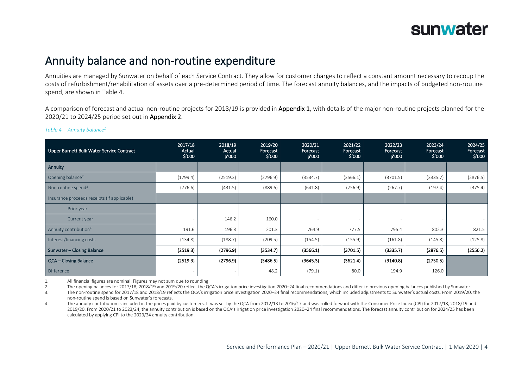

### Annuity balance and non-routine expenditure

Annuities are managed by Sunwater on behalf of each Service Contract. They allow for customer charges to reflect a constant amount necessary to recoup the costs of refurbishment/rehabilitation of assets over a pre-determined period of time. The forecast annuity balances, and the impacts of budgeted non-routine spend, are shown in [Table 4.](#page-3-0)

A comparison of forecast and actual non-routine projects for 2018/19 is provided in Appendix 1, with details of the major non-routine projects planned for the 2020/21 to 2024/25 period set out in Appendix 2.

| Upper Burnett Bulk Water Service Contract   | 2017/18<br>Actual<br>\$′000 | 2018/19<br>Actual<br>\$′000 | 2019/20<br>Forecast<br>\$′000 | 2020/21<br>Forecast<br>\$′000 | 2021/22<br>Forecast<br>\$′000 | 2022/23<br>Forecast<br>\$'000 | 2023/24<br>Forecast<br>\$′000 | 2024/25<br>Forecast<br>\$'000 |
|---------------------------------------------|-----------------------------|-----------------------------|-------------------------------|-------------------------------|-------------------------------|-------------------------------|-------------------------------|-------------------------------|
| Annuity                                     |                             |                             |                               |                               |                               |                               |                               |                               |
| Opening balance <sup>2</sup>                | (1799.4)                    | (2519.3)                    | (2796.9)                      | (3534.7)                      | (3566.1)                      | (3701.5)                      | (3335.7)                      | (2876.5)                      |
| Non-routine spend <sup>3</sup>              | (776.6)                     | (431.5)                     | (889.6)                       | (641.8)                       | (756.9)                       | (267.7)                       | (197.4)                       | (375.4)                       |
| Insurance proceeds receipts (if applicable) |                             |                             |                               |                               |                               |                               |                               |                               |
| Prior year                                  |                             |                             |                               |                               |                               |                               |                               | $\overline{\phantom{a}}$      |
| Current year                                |                             | 146.2                       | 160.0                         |                               |                               |                               |                               | $\sim$                        |
| Annuity contribution <sup>4</sup>           | 191.6                       | 196.3                       | 201.3                         | 764.9                         | 777.5                         | 795.4                         | 802.3                         | 821.5                         |
| Interest/financing costs                    | (134.8)                     | (188.7)                     | (209.5)                       | (154.5)                       | (155.9)                       | (161.8)                       | (145.8)                       | (125.8)                       |
| Sunwater - Closing Balance                  | (2519.3)                    | (2796.9)                    | (3534.7)                      | (3566.1)                      | (3701.5)                      | (3335.7)                      | (2876.5)                      | (2556.2)                      |
| QCA - Closing Balance                       | (2519.3)                    | (2796.9)                    | (3486.5)                      | (3645.3)                      | (3621.4)                      | (3140.8)                      | (2750.5)                      |                               |
| Difference                                  |                             |                             | 48.2                          | (79.1)                        | 80.0                          | 194.9                         | 126.0                         |                               |

#### <span id="page-3-0"></span>*Table 4 Annuity balance<sup>1</sup>*

1. All financial figures are nominal. Figures may not sum due to rounding.

2. The opening balances for 2017/18, 2018/19 and 2019/20 reflect the QCA's irrigation price investigation 2020–24 final recommendations and differ to previous opening balances published by Sunwater.

3. The non-routine spend for 2017/18 and 2018/19 reflects the QCA's irrigation price investigation 2020–24 final recommendations, which included adjustments to Sunwater's actual costs. From 2019/20, the non-routine spend is based on Sunwater's forecasts.

4. The annuity contribution is included in the prices paid by customers. It was set by the QCA from 2012/13 to 2016/17 and was rolled forward with the Consumer Price Index (CPI) for 2017/18, 2018/19 and 2019/20. From 2020/21 to 2023/24, the annuity contribution is based on the QCA's irrigation price investigation 2020–24 final recommendations. The forecast annuity contribution for 2024/25 has been calculated by applying CPI to the 2023/24 annuity contribution.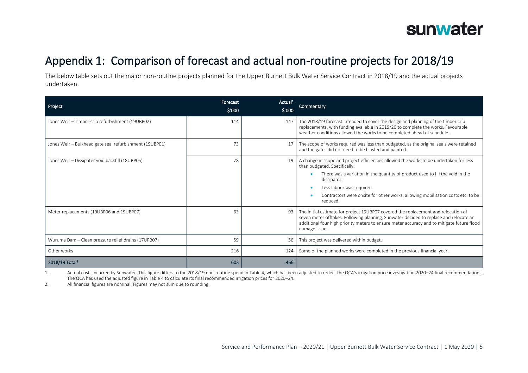

# Appendix 1: Comparison of forecast and actual non-routine projects for 2018/19

The below table sets out the major non-routine projects planned for the Upper Burnett Bulk Water Service Contract in 2018/19 and the actual projects undertaken.

| Project                                                 | Forecast<br>\$′000 | Actual <sup>1</sup><br>\$'000 | Commentary                                                                                                                                                                                                                                                                                                                                         |
|---------------------------------------------------------|--------------------|-------------------------------|----------------------------------------------------------------------------------------------------------------------------------------------------------------------------------------------------------------------------------------------------------------------------------------------------------------------------------------------------|
| Jones Weir - Timber crib refurbishment (19UBP02)        | 114                | 147                           | The 2018/19 forecast intended to cover the design and planning of the timber crib<br>replacements, with funding available in 2019/20 to complete the works. Favourable<br>weather conditions allowed the works to be completed ahead of schedule.                                                                                                  |
| Jones Weir - Bulkhead gate seal refurbishment (19UBP01) | 73                 | 17                            | The scope of works required was less than budgeted, as the original seals were retained<br>and the gates did not need to be blasted and painted.                                                                                                                                                                                                   |
| Jones Weir - Dissipater void backfill (18UBP05)         | 78                 | 19                            | A change in scope and project efficiencies allowed the works to be undertaken for less<br>than budgeted. Specifically:<br>There was a variation in the quantity of product used to fill the void in the<br>dissipator.<br>Less labour was required.<br>Contractors were onsite for other works, allowing mobilisation costs etc. to be<br>reduced. |
| Meter replacements (19UBP06 and 19UBP07)                | 63                 | 93                            | The initial estimate for project 19UBP07 covered the replacement and relocation of<br>seven meter offtakes. Following planning, Sunwater decided to replace and relocate an<br>additional four high priority meters to ensure meter accuracy and to mitigate future flood<br>damage issues.                                                        |
| Wuruma Dam - Clean pressure relief drains (17UPB07)     | 59                 | 56                            | This project was delivered within budget.                                                                                                                                                                                                                                                                                                          |
| Other works                                             | 216                | 124                           | Some of the planned works were completed in the previous financial year.                                                                                                                                                                                                                                                                           |
| 2018/19 Total <sup>2</sup>                              | 603                | 456                           |                                                                                                                                                                                                                                                                                                                                                    |

1. Actual costs incurred by Sunwater. This figure differs to the 2018/19 non-routine spend in [Table 4,](#page-3-0) which has been adjusted to reflect the QCA's irrigation price investigation 2020–24 final recommendations. The QCA has used the adjusted figure i[n Table 4](#page-3-0) to calculate its final recommended irrigation prices for 2020–24.

2. All financial figures are nominal. Figures may not sum due to rounding.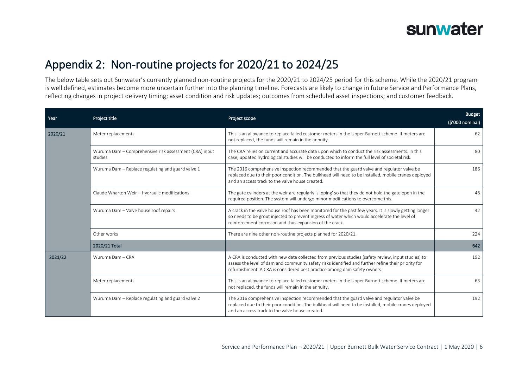

### Appendix 2: Non-routine projects for 2020/21 to 2024/25

The below table sets out Sunwater's currently planned non-routine projects for the 2020/21 to 2024/25 period for this scheme. While the 2020/21 program is well defined, estimates become more uncertain further into the planning timeline. Forecasts are likely to change in future Service and Performance Plans, reflecting changes in project delivery timing; asset condition and risk updates; outcomes from scheduled asset inspections; and customer feedback.

| Year    | Project title                                                     | Project scope                                                                                                                                                                                                                                                                          | <b>Budget</b><br>(\$'000 nominal) |
|---------|-------------------------------------------------------------------|----------------------------------------------------------------------------------------------------------------------------------------------------------------------------------------------------------------------------------------------------------------------------------------|-----------------------------------|
| 2020/21 | Meter replacements                                                | This is an allowance to replace failed customer meters in the Upper Burnett scheme. If meters are<br>not replaced, the funds will remain in the annuity.                                                                                                                               | 62                                |
|         | Wuruma Dam - Comprehensive risk assessment (CRA) input<br>studies | The CRA relies on current and accurate data upon which to conduct the risk assessments. In this<br>case, updated hydrological studies will be conducted to inform the full level of societal risk.                                                                                     | 80                                |
|         | Wuruma Dam - Replace regulating and guard valve 1                 | The 2016 comprehensive inspection recommended that the guard valve and regulator valve be<br>replaced due to their poor condition. The bulkhead will need to be installed, mobile cranes deployed<br>and an access track to the valve house created.                                   | 186                               |
|         | Claude Wharton Weir - Hydraulic modifications                     | The gate cylinders at the weir are regularly 'slipping' so that they do not hold the gate open in the<br>required position. The system will undergo minor modifications to overcome this.                                                                                              | 48                                |
|         | Wuruma Dam - Valve house roof repairs                             | A crack in the valve house roof has been monitored for the past few years. It is slowly getting longer<br>so needs to be grout injected to prevent ingress of water which would accelerate the level of<br>reinforcement corrosion and thus expansion of the crack.                    | 42                                |
|         | Other works                                                       | There are nine other non-routine projects planned for 2020/21.                                                                                                                                                                                                                         | 224                               |
|         | 2020/21 Total                                                     |                                                                                                                                                                                                                                                                                        | 642                               |
| 2021/22 | Wuruma Dam - CRA                                                  | A CRA is conducted with new data collected from previous studies (safety review, input studies) to<br>assess the level of dam and community safety risks identified and further refine their priority for<br>refurbishment. A CRA is considered best practice among dam safety owners. | 192                               |
|         | Meter replacements                                                | This is an allowance to replace failed customer meters in the Upper Burnett scheme. If meters are<br>not replaced, the funds will remain in the annuity.                                                                                                                               | 63                                |
|         | Wuruma Dam - Replace regulating and guard valve 2                 | The 2016 comprehensive inspection recommended that the guard valve and regulator valve be<br>replaced due to their poor condition. The bulkhead will need to be installed, mobile cranes deployed<br>and an access track to the valve house created.                                   | 192                               |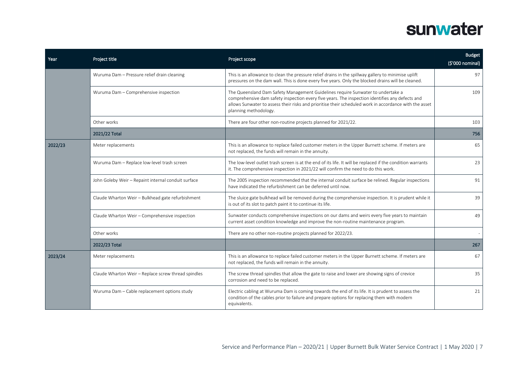| Year    | Project title                                       | Project scope                                                                                                                                                                                                                                                                                                         | <b>Budget</b><br>(\$'000 nominal) |
|---------|-----------------------------------------------------|-----------------------------------------------------------------------------------------------------------------------------------------------------------------------------------------------------------------------------------------------------------------------------------------------------------------------|-----------------------------------|
|         | Wuruma Dam - Pressure relief drain cleaning         | This is an allowance to clean the pressure relief drains in the spillway gallery to minimise uplift<br>pressures on the dam wall. This is done every five years. Only the blocked drains will be cleaned.                                                                                                             | 97                                |
|         | Wuruma Dam - Comprehensive inspection               | The Queensland Dam Safety Management Guidelines require Sunwater to undertake a<br>comprehensive dam safety inspection every five years. The inspection identifies any defects and<br>allows Sunwater to assess their risks and prioritise their scheduled work in accordance with the asset<br>planning methodology. | 109                               |
|         | Other works                                         | There are four other non-routine projects planned for 2021/22.                                                                                                                                                                                                                                                        | 103                               |
|         | 2021/22 Total                                       |                                                                                                                                                                                                                                                                                                                       | 756                               |
| 2022/23 | Meter replacements                                  | This is an allowance to replace failed customer meters in the Upper Burnett scheme. If meters are<br>not replaced, the funds will remain in the annuity.                                                                                                                                                              | 65                                |
|         | Wuruma Dam - Replace low-level trash screen         | The low-level outlet trash screen is at the end of its life. It will be replaced if the condition warrants<br>it. The comprehensive inspection in 2021/22 will confirm the need to do this work.                                                                                                                      | 23                                |
|         | John Goleby Weir - Repaint internal conduit surface | The 2005 inspection recommended that the internal conduit surface be relined. Regular inspections<br>have indicated the refurbishment can be deferred until now.                                                                                                                                                      | 91                                |
|         | Claude Wharton Weir - Bulkhead gate refurbishment   | The sluice gate bulkhead will be removed during the comprehensive inspection. It is prudent while it<br>is out of its slot to patch paint it to continue its life.                                                                                                                                                    | 39                                |
|         | Claude Wharton Weir - Comprehensive inspection      | Sunwater conducts comprehensive inspections on our dams and weirs every five years to maintain<br>current asset condition knowledge and improve the non-routine maintenance program.                                                                                                                                  | 49                                |
|         | Other works                                         | There are no other non-routine projects planned for 2022/23.                                                                                                                                                                                                                                                          |                                   |
|         | 2022/23 Total                                       |                                                                                                                                                                                                                                                                                                                       | 267                               |
| 2023/24 | Meter replacements                                  | This is an allowance to replace failed customer meters in the Upper Burnett scheme. If meters are<br>not replaced, the funds will remain in the annuity.                                                                                                                                                              | 67                                |
|         | Claude Wharton Weir - Replace screw thread spindles | The screw thread spindles that allow the gate to raise and lower are showing signs of crevice<br>corrosion and need to be replaced.                                                                                                                                                                                   | 35                                |
|         | Wuruma Dam - Cable replacement options study        | Electric cabling at Wuruma Dam is coming towards the end of its life. It is prudent to assess the<br>condition of the cables prior to failure and prepare options for replacing them with modern<br>equivalents.                                                                                                      | 21                                |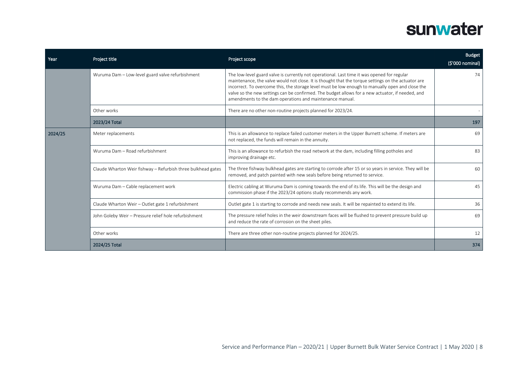| Year    | Project title                                                | Project scope                                                                                                                                                                                                                                                                                                                                                                                                                                                         | <b>Budget</b><br>(\$'000 nominal) |
|---------|--------------------------------------------------------------|-----------------------------------------------------------------------------------------------------------------------------------------------------------------------------------------------------------------------------------------------------------------------------------------------------------------------------------------------------------------------------------------------------------------------------------------------------------------------|-----------------------------------|
|         | Wuruma Dam - Low-level guard valve refurbishment             | The low-level guard valve is currently not operational. Last time it was opened for regular<br>maintenance, the valve would not close. It is thought that the torque settings on the actuator are<br>incorrect. To overcome this, the storage level must be low enough to manually open and close the<br>valve so the new settings can be confirmed. The budget allows for a new actuator, if needed, and<br>amendments to the dam operations and maintenance manual. | 74                                |
|         | Other works                                                  | There are no other non-routine projects planned for 2023/24.                                                                                                                                                                                                                                                                                                                                                                                                          |                                   |
|         | 2023/24 Total                                                |                                                                                                                                                                                                                                                                                                                                                                                                                                                                       | 197                               |
| 2024/25 | Meter replacements                                           | This is an allowance to replace failed customer meters in the Upper Burnett scheme. If meters are<br>not replaced, the funds will remain in the annuity.                                                                                                                                                                                                                                                                                                              | 69                                |
|         | Wuruma Dam - Road refurbishment                              | This is an allowance to refurbish the road network at the dam, including filling potholes and<br>improving drainage etc.                                                                                                                                                                                                                                                                                                                                              | 83                                |
|         | Claude Wharton Weir fishway - Refurbish three bulkhead gates | The three fishway bulkhead gates are starting to corrode after 15 or so years in service. They will be<br>removed, and patch painted with new seals before being returned to service.                                                                                                                                                                                                                                                                                 | 60                                |
|         | Wuruma Dam - Cable replacement work                          | Electric cabling at Wuruma Dam is coming towards the end of its life. This will be the design and<br>commission phase if the 2023/24 options study recommends any work.                                                                                                                                                                                                                                                                                               | 45                                |
|         | Claude Wharton Weir - Outlet gate 1 refurbishment            | Outlet gate 1 is starting to corrode and needs new seals. It will be repainted to extend its life.                                                                                                                                                                                                                                                                                                                                                                    | 36                                |
|         | John Goleby Weir - Pressure relief hole refurbishment        | The pressure relief holes in the weir downstream faces will be flushed to prevent pressure build up<br>and reduce the rate of corrosion on the sheet piles.                                                                                                                                                                                                                                                                                                           | 69                                |
|         | Other works                                                  | There are three other non-routine projects planned for 2024/25.                                                                                                                                                                                                                                                                                                                                                                                                       | 12                                |
|         | 2024/25 Total                                                |                                                                                                                                                                                                                                                                                                                                                                                                                                                                       | 374                               |